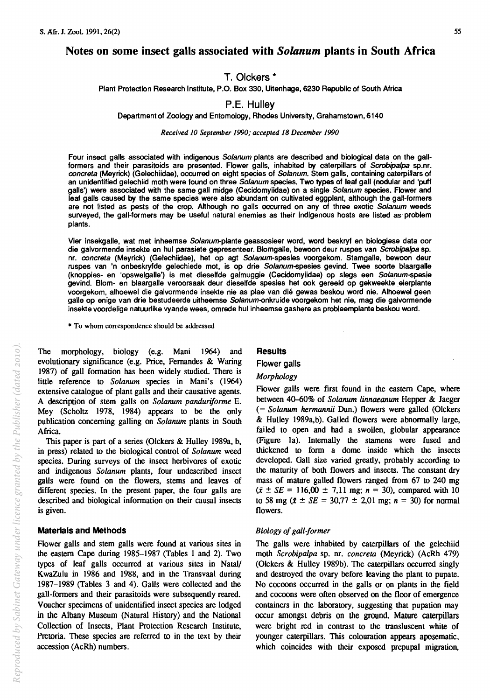# Notes on some insect galls associated with *Solanum* plants in South Africa

T. Olckers \*

Plant Protection Research Institute, P.O. Box 330, Uitenhage, 6230 Republic of South Africa

# P.E. Hulley

Department of Zoology and Entomology, Rhodes University, Grahamstown, 6140

*Received 10 September 1990; accepted* 18 *December 1990* 

Four insect galls associated with indigenous Solanum plants are described and biological data on the gallformers and their parasitoids are presented. Flower galls, inhabited by caterpillars of Scrobipalpa sp.nr. concreta (Meyrick) (Gelechiidae), occurred on eight species of Solanum. Stem galls, containing caterpillars of an unidentified gelechiid moth were found on three Solanum species. Two types of leaf gall (nodular and 'puff galls') were associated with the same gall midge (Cecidomyiidae) on a single Solanum species. Flower and leaf galls caused by the same species were also abundant on cultivated eggplant, although the gall-formers are not listed as pests of the crop. Although no galls occurred on any of three exotic Solanum weeds surveyed, the gall-formers may be useful natural enemies as their indigenous hosts are listed as problem plants.

Vier insekgalle, wat met inheemse *Solanum*-plante geassosieer word, word beskryf en biologiese data oor die galvormende insekte en hul parasiete gepresenteer. Blomgalle, bewoon deur ruspes van Scrobipalpa sp. nr. concreta (Meyrick) (Gelechiidae), het op agt Solanum-spesies voorgekom. Stamgalle, bewoon deur ruspes van 'n onbeskryfde gelechiede mot, is op drie Solanum-spesies gevind. Twee soorte blaargalle (knoppies- en 'opswelgalle') is met dieselfde galmuggie (Cecidomyiidae) op slegs een Solanum-spesie gevind. Blom- en blaargalle veroorsaak deur dieselfde spesies het ook gereeld op gekweekte eierplante voorgekom, alhoewel die galvormende insekte nie as plae van die gewas beskou word nie. Alhoewel geen galle op enige van drie bestudeerde uitheemse Solanum-onkruide voorgekom het nie, mag die galvormende insekte voordelige natuurlike vyande wees, omrede hul inheemse gashere as probleemplante beskou word.

• To whom correspondence should be addressed

The morphology, biology (e.g. Mani 1964) and evolutionary significance (e.g. Price, Fernandes & Waring 1987) of gall formation has been widely studied. There is little reference to *Solanum* species in Mani's (1964) extensive catalogue of plant galls and their causative agents. A description of stem galls on *Solanum panduriforme* E. Mey (Scholtz 1978, 1984) appears to be the only publication concerning galling on *Solanum* plants in South Africa.

This paper is part of a series (Olckers & Hulley 1989a, b, in press) related to the biological control of *Solanum* weed species. During surveys of the insect herbivores of exotic and indigenous *Solanum* plants, four undescribed insect galls were found on the flowers, stems and leaves of different species. In the present paper, the four galls are described and biological information on their causal insects is given.

# Materials and Methods

Hower galls and stem galls were found at various sites in the eastern Cape during 1985-1987 (Tables 1 and 2). Two types of leaf galls occurred at various sites in Natal/ KwaZulu in 1986 and 1988, and in the Transvaal during 1987-1989 (Tables 3 and 4). Galls were collected and the gall-formers and their parasitoids were subsequently reared. Voucher specimens of unidentified insect species are lodged in the Albany Museum (Natural History) and the National Collection of Insects, Plant Protection Research Institute, Pretoria. These species are referred to in the text by their accession (AcRh) numbers.

# **Results**

# Flower galls

# *Morphology*

Hower galls were first found in the eastern Cape, where between 40-60% of *Solanum linnaeanum* Hepper & Jaeger (= *Solanum hermannii* Dun.) flowers were galled (Olckers & Hulley 1989a,b). Galled flowers were abnormally large, failed to open and had a swollen, globular appearance (Figure la). Internally the stamens were fused and thickened to form a dome inside which the insects developed. Gall size varied greatly, probably according to the maturity of both flowers and insects. The constant dry mass of mature galled flowers ranged from 67 to 240 mg  $(\bar{x} \pm \bar{S}E = 116,00 \pm 7,11 \text{ mg}; n = 30)$ , compared with 10 to 58 mg  $(\bar{x} \pm SE = 30,77 \pm 2,01 \text{ mg}; n = 30)$  for normal flowers.

# *Biology of gall former*

The galls were inhabited by caterpillars of the gelechiid moth *Scrobipalpa* sp. nr. *concreta* (Meyrick) (AcRh 479) (Olckers & Hulley 1989b). The caterpillars occurred singly and destroyed the ovary before leaving the plant to pupate. No cocoons occurred in the galls or on plants in the field and cocoons were often observed on the floor of emergence containers in the laboratory, suggesting that pupation may occur amongst debris on the ground. Mature caterpillars were bright red in contrast to the transluscent white of younger caterpillars. This colouration appears aposematic, which coincides with their exposed prepupal migration,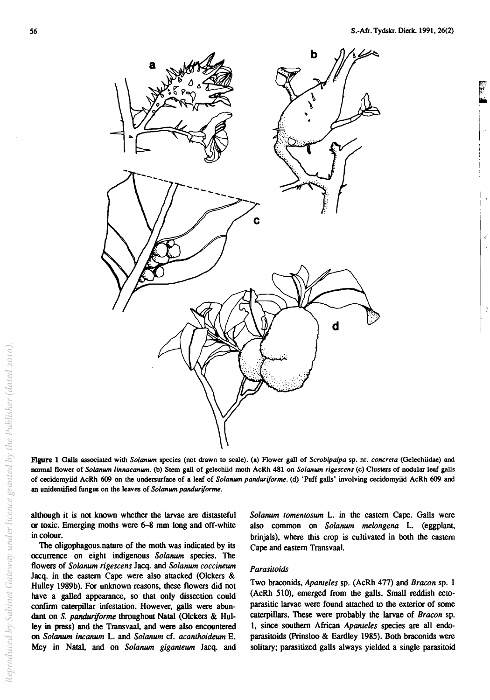

figure 1 Galls associated with *Solanum* species (not drawn to scale). (a) Flower gall of *Scrobipalpa* sp. nr. *concreta* (Gelechiidae) and nonnal flower of *Solanum linnaeanum.* (b) Stem gall of gelechiid moth AcRh 481 on *Solanum rigescens* (c) Clusters of nodular leaf galls of cecidomyiid AcRh 609 on the undersurface of a leaf of *Solanum panduriforme.* (d) 'Puff galls' involving cecidomyiid AcRh 609 and an unidentified fungus on the leaves of *Solanum pandwiforme.* 

although it is not known whether the larvae are distasteful or toxic. Emerging moths were 6-8 mm long and off-white in colour.

The oligophagous. nature of the moth was indicated by its occurrence on eight indigenous *Solanum* species. The flowers of *Solanum rigescens* Jacq. and *Solanum coccineum*  Jacq. in the eastern Cape were also attacked (Olckers & Hulley 1989b). For unknown reasons, these flowers did not have a galled appearance, so that only dissection could confirm caterpillar infestation. However, galls were abundant on S. *panduri/orme* throughout Natal (Olckers & Hulley in press) and the Transvaal, and were also encountered on *Solanum incanum* L. and *Solanum* cf. *acanthoideum* E. Mey in Natal, and on *Solanum giganteum* Jacq. and *Solanum tomentosum* L. in the eastern Cape. Galls were also common on *Solanum melongena* L. (eggplant, brinjals), where this crop is cultivated in both the eastern Cape and eastern Transvaal.

# *Parasitoids*

Two braconids, *Apanteles* sp. (AcRh 477) and *Bracon* sp. 1 (AcRh 510), emerged from the galls. Small reddish ectoparasitic larvae were found attached to the exterior of some caterpillars. These were probably the larvae of *Bracon* sp. I, since southern African *Apanteles* species are all endoparasitoids (Prinsloo & Eardley 1985). Both braconids were solitary; parasitized galls always yielded a single parasitoid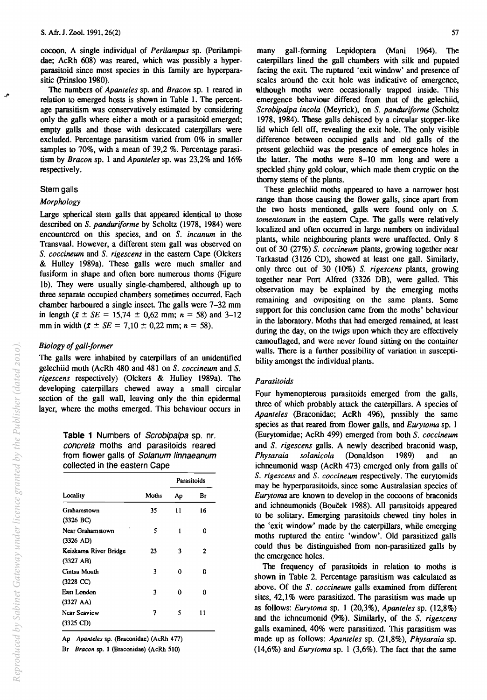cocoon. A single individual of *Perilampus* sp. (perilampidae; AcRh 608) was reared, which was possibly a hyperparasitoid since most species in this family are hyperparasitic (Prinsloo 1980).

The numbers of *Apanteles* sp. and *Bracon* sp. 1 reared in relation to emerged hosts is shown in Table 1. The percentage parasitism was conservatively estimated by considering only the galls where either a moth or a parasitoid emerged; empty galls and those with desiccated caterpillars were excluded. Percentage parasitism varied from 0% in smaller samples to 70%, with a mean of 39,2%. Percentage parasitism by *Bracon* sp. 1 and *Apanteles* sp. was 23,2% and 16% respectively.

# Stem galls

### *Morphology*

Large spherical stem galls that appeared identical to those described on S. *panduriforme* by Scholtz (1978, 1984) were encountered on this species, and on S. *incanum* in the Transvaal. However, a different stem gall was observed on S. *coccineum* and S. *rigescens* in the eastern Cape (Olckers & Hulley 1989a). These galls were much smaller and fusiform in shape and often bore numerous thorns (Figure lb). They were usually single-chambered, although up to three separate occupied chambers sometimes occurred. Each chamber harboured a single insect The galls were 7-32 mm in length  $(\bar{x} \pm SE = 15,74 \pm 0,62 \text{ mm}; n = 58)$  and 3-12 mm in width  $(\bar{x} \pm SE = 7,10 \pm 0,22 \text{ mm}; n = 58)$ .

## *Biology of gall-former*

The galls were inhabited by caterpillars of an unidentified gelechiid moth (AcRh 480 and 481 on S. *coccineum* and S. *rigescens* respectively) (Olckers & Hulley 1989a). The developing caterpillars chewed away a small circular section of the gall wall, leaving only the thin epidermal layer, where the moths emerged. This behaviour occurs in

> **Table 1** Numbers of Scrobipalpa sp. nr. concreta moths and parasitoids reared from flower galls of Solanum linnaeanum collected in the eastern Cape

|                                     |       | Parasitoids |    |  |  |
|-------------------------------------|-------|-------------|----|--|--|
| Locality                            | Moths | Ap          | Bг |  |  |
| Grahamstown<br>$(3326)$ BC)         | 35    | 11          | 16 |  |  |
| Ń<br>Near Grahamstown<br>(3326 AD)  | 5     |             | 0  |  |  |
| Keiskama River Bridge<br>(3327 AB)  | 23    | 3           | 2  |  |  |
| Cintsa Mouth<br>$(3228 \text{ CC})$ | 3     | 0           | Ω  |  |  |
| East London<br>$(3327 \text{ AA})$  | 3     | Λ           | Λ  |  |  |
| <b>Near Seaview</b><br>$(3325$ CD)  | 7     | ٢           | 11 |  |  |

Ap *Apanleles* sp. (Braconidae) (AcRh 4TI)

Br *Bracon* sp. 1 (Braconidae) (AcRh 510)

many gall-forming Lepidoptera (Mani 1964). The caterpillars lined the gall chambers with silk and pupated facing the exit The ruptured 'exit window' and presence of scales around the exit hole was indicative of emergence, although moths were occasionally trapped inside. This emergence behaviour differed from that of the gelechiid, *Scrobipalpa incola* (Meyrick), on S. *panduriforme* (Scholtz 1978, 1984). These galls dehisced by a circular stopper-like lid which fell off, revealing the exit hole. The only visible difference between occupied galls and old galls of the present gelechiid was the presence of emergence holes in the latter. The moths were 8-10 mm long and were a speckled shiny gold colour, which made them cryptic on the thorny stems of the plants.

These gelechiid moths appeared to have a narrower host range than those causing the flower galls, since apart from the two hosts mentioned, galls were found only on S. *tomentosum* in the eastern Cape. The galls were relatively localized and often occurred in large numbers on individual plants, while neighbouring plants were unaffected. Only 8 out of 30 (27%) S. *coccineum* plants, growing together near Tarkastad (3126 CD), showed at least one gall. Similarly, only three out of 30 (10%) S. *rigescens* plants, growing together near Port Alfred (3326 DB), were galled. This observation may be explained by the emerging moths remaining and ovipositing on the same plants. Some support for this conclusion came from the moths' behaviour in the laboratory. Moths that had emerged remained. at least during the day, on the twigs upon which they are effectively camouflaged, and were never found sitting on the container walls. There is a further possibility of variation in susceptibility amongst the individual plants.

### *Parasitoids*

Four hymenopterous parasitoids emerged from the galls, three of which probably attack the caterpillars. A species of *Apanteies* (Braconidae; AcRh 496), possibly the same species as that reared from flower galls, and *Eurytoma* sp. I (Eurytomidae; AcRh 499) emerged from both S. *coccineum*  and S. *rigescens* galls. A newly described braconid wasp, *Physaraia solanicola* (Donaldson 1989) and an ichneumonid wasp (AcRh 473) emerged only from galls of S. *rigescens* and S. *coccineum* respectively. The eurytomids may be hyperparasitoids, since some Australasian species of *Eurytoma* are known to develop in the cocoons of braconids and ichneumonids (Bouček 1988). All parasitoids appeared to be solitary. Emerging parasitoids chewed tiny holes in the 'exit window' made by the caterpillars, while emerging moths ruptured the entire 'window'. Old parasitized galls could thus be distinguished from non-parasitized galls by the emergence holes.

The frequency of parasitoids in relation to moths is shown in Table 2. Percentage parasitism was calculated as above. Of the S. *coccineum* galls examined from different sites, 42,1% were parasitized. The parasitism was made up as follows: *Eurytoma* sp. 1 (20,3%), *Apanteles* sp. (12,8%) and the ichneumonid (9%). Similarly, of the S. *rigescens*  galls examined. 40% were parasitized. This parasitism was made up as follows: *Apanteles* sp. (21,8%), *Physaraia* sp. (14,6%) and *Eurytoma* sp. 1 (3,6%). The fact that the same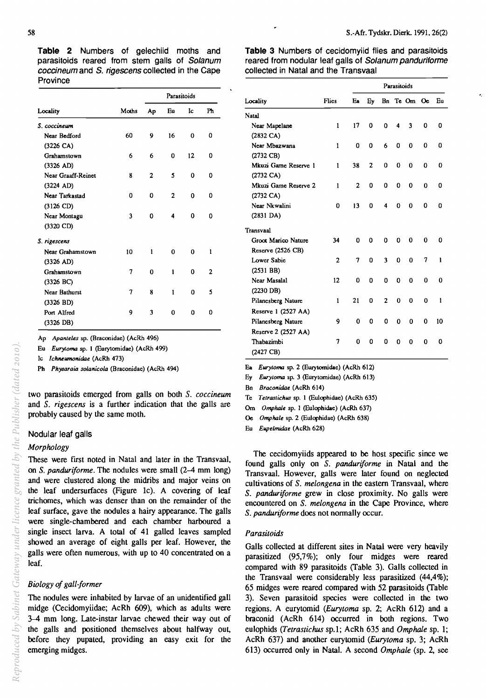**Table 2** Numbers of gelechiid moths and parasitoids reared from stem galls of Solanum coccineum and S. rigescens collected in the Cape Province

|                                        |          | Parasitoids    |                |                   |    |  |  |
|----------------------------------------|----------|----------------|----------------|-------------------|----|--|--|
| Locality                               | Moths    | Ap             | Eu             | Ic                | Ph |  |  |
| S. coccineum                           |          |                |                |                   |    |  |  |
| Near Bedford<br>$(3226 \text{ CA})$    | 60       | 9              | 16             | 0                 | 0  |  |  |
| Grahamstown<br>(3326 AD)               | 6        | 6              | 0              | $12 \overline{ }$ | 0  |  |  |
| <b>Near Graaff-Reinet</b><br>(3224 AD) | 8        | $\overline{2}$ | 5              | $\Omega$          | 0  |  |  |
| Near Tarkastad<br>$(3126$ CD)          | $\Omega$ | $\bf{0}$       | $\overline{2}$ | 0                 | 0  |  |  |
| Near Montagu<br>(3320 CD)              | 3        | 0              | 4              | $\Omega$          | 0  |  |  |
| S. rigescens                           |          |                |                |                   |    |  |  |
| Near Grahamstown<br>(3326 AD)          | 10       | 1              | 0              | 0                 | 1  |  |  |
| Grahamstown<br>$(3326 \text{ BC})$     | 7        | 0              | 1              | 0                 | 2  |  |  |
| <b>Near Bathurst</b><br>$(3326$ BD)    | 7        | 8              | 1              | 0                 | 5  |  |  |
| Port Alfred<br>$(3326)$ DB)            | 9        | 3              | 0              | 0                 | 0  |  |  |

Ap *Apanteles sp.* (Braconidae) (AcRh 496)

Eu *Eury/oma* sp. 1 (Eurytomidae) (AcRh 499)

Ic *Ichneumonidae* (AcRh 473)

Ph *Physaraia solanicola* (Braconidae) (AcRh 494)

two parasitoids emerged from galls on both S. *coccineum*  and S. *rigescens* is a further indication that the galls are probably caused by the same moth.

#### Nodular leaf galls

#### *Morphology*

These were first noted in Natal and later in the Transvaal, on S. *panduriforme.* The nodules were small (2-4 mm long) and were clustered along the midribs and major veins on the leaf undersurfaces (Figure lc). A covering of leaf trichomes, which was denser than on the remainder of the leaf surface, gave the nodules a hairy appearance. The galls were single-chambered and each chamber harboured a single insect larva. A total of 41 galled leaves sampled showed an average of eight galls per leaf. However, the galls were often numerous, with up to 40 concentrated on a leaf.

### **Biology of gall-former**

The nodules were inhabited by larvae of an unidentified gall midge (Cecidomyiidae; AcRh 609), which as adults were 3-4 mm long. Late-instar larvae chewed their way out of the galls and positioned themselves about halfway out, before they pupated, providing an easy exit for the emerging midges.

**Table 3** Numbers of cecidomyiid flies and parasitoids reared from nodular leaf galls of Solanum panduriforme collected in Natal and the Transvaal

|                      |              | Parasitoids    |              |                |          |             |          |    |
|----------------------|--------------|----------------|--------------|----------------|----------|-------------|----------|----|
| Locality             | Flies        | Ea             | Ev           |                |          | Bn Te Om Oe |          | Eu |
| <b>Natal</b>         |              |                |              |                |          |             |          |    |
| Near Mapelane        | 1            | 17             | 0            | 0              | 4        | 3           | 0        | 0  |
| $(2832 \text{ CA})$  |              |                |              |                |          |             |          |    |
| Near Mbazwana        | 1            | 0              | 0            | 6              | 0        | 0           | 0        | o  |
| $(2732 \text{ CB})$  |              |                |              |                |          |             |          |    |
| Mkuzi Game Reserve 1 | 1            | 38             | $\mathbf{2}$ | 0              | 0        | 0           | 0        | 0  |
| $(2732 \text{ CA})$  |              |                |              |                |          |             |          |    |
| Mkuzi Game Reserve 2 | 1            | $\overline{2}$ | $\Omega$     | 0              | $\Omega$ | 0           | 0        | 0  |
| $(2732 \text{ CA})$  |              |                |              |                |          |             |          |    |
| Near Nkwalini        | $\bf{0}$     | 13             | 0            | 4              | 0        | 0           | 0        | 0  |
| $(2831\,\text{DA})$  |              |                |              |                |          |             |          |    |
| Transvaal            |              |                |              |                |          |             |          |    |
| Groot Marico Nature  | 34           | $\Omega$       | $\Omega$     | $\Omega$       | $\Omega$ | 0           | $\Omega$ | 0  |
| Reserve (2526 CB)    |              |                |              |                |          |             |          |    |
| Lower Sabie          | $\mathbf{2}$ | 7              | 0            | 3              | 0        | 0           | 7        | 1  |
| (2531 BB)            |              |                |              |                |          |             |          |    |
| Near Masalal         | 12           | 0              | 0            | 0              | 0        | 0           | 0        | 0  |
| (2230 DB)            |              |                |              |                |          |             |          |    |
| Pilanesberg Nature   | 1            | 21             | 0            | $\overline{2}$ | 0        | 0           | $\Omega$ | 1  |
| Reserve 1 (2527 AA)  |              |                |              |                |          |             |          |    |
| Pilanesberg Nature   | 9            | 0              | 0            | 0              | 0        | 0           | 0        | 10 |
| Reserve 2 (2527 AA)  |              |                |              |                |          |             |          |    |
| Thabazimbi           | 7            | $\Omega$       | $\Omega$     | 0              | $\Omega$ | 0           | 0        | 0  |
| $(2427 \text{ CB})$  |              |                |              |                |          |             |          |    |

Ea *Eury/oma* sp. 2 (Ewytomidae) (AcRh 612)

Ey *Eury/oma* sp. 3 (Eurytomidae) (AeRh 613)

Bn *Braeonidae* (AeRh 614)

Te *Tetrastichus* sp. 1 (Eulophidae) (AcRh 635)

Om *Omphale* sp. 1 (Eulophidae) (AeRh 637)

Oe *Omphale* sp. 2 (Eulophidae) (AeRh 638)

Eu *Ewpelmidae* (AeRh 628)

The cecidomyiids appeared to be host specific since we found galls only on S. *panduriforme* in Natal and the Transvaal. However, galls were later found on neglected cultivations of S. *melongena* in the eastern Transvaal, where S. *panduriforme* grew in close proximity. No galls were encountered on S. *melongena* in the Cape Province, where S. *panduriforme* does not normally occur.

#### *Parasitoids*

Galls collected at different sites in Natal were very heavily parasitized (95,7%); only four midges were reared compared with 89 parasitoids (Table 3). Galls collected in the Transvaal were considerably less parasitized (44,4%); 65 midges were reared compared with 52 parasitoids (Table 3). Seven parasitoid species were collected in the two regions. A eurytomid *(Eurytoma* sp. 2; AcRh 612) and a braconid (AcRh 614) occurred in both regions. Two eulophids *(Tetrastichus* sp.l; AcRh 635 and *Omphale* sp. 1; AcRh 637) and another eurytomid *(Eurytoma* sp. 3; AcRh 613) occurred only in Natal. A second *Omphale* (sp. 2, see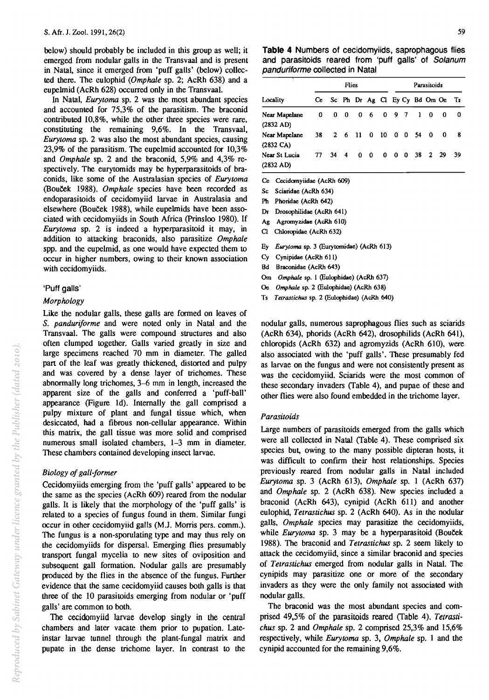below) should probably be included in this group as well; it emerged from nodular galls in the Transvaal and is present in Natal, since it emerged from 'puff galls' (below) collected there. The eulophid *(Omphale* sp. 2; AcRh 638) and a eupelmid (AcRh 628) occurred only in the Transvaal.

In Natal, *Eurytoma* sp. 2 was the most abundant species and accounted for 75,3% of the parasitism. The braconid contributed 10,8%, while the other three species were rare, constituting the remaining 9,6%. In the Transvaal, *Eurytoma* sp. 2 was also the most abundant species, causing 23,9% of the parasitism. The eupelmid accounted for 10,3% and *Omphale* sp. 2 and the braconid. 5,9% and 4,3% respectively. The eurytomids may be hyperparasitoids of braconids, like some of the Australasian species of *Eurytoma*  (Bourek 1988). *Omphale* species have been recorded as endoparasitoids of cecidomyiid larvae in Australasia and elsewhere (BouCek 1988), while eupelmids have been associated with cecidomyiids in South Africa (Prinsloo 1980). If *Eurytoma* sp. 2 is indeed a hyperparasitoid it may, in addition to attacking braconids, also parasitize *Omphale*  spp. and the eupelmid, as one would have expected them to occur in higher numbers, owing to their known association with cecidomyiids.

# 'Puff galls'

### *Morphology*

Like the nodular galls, these galls are formed on leaves of S. *panduriforme* and were noted only in Natal and the Transvaal. The galls were compound structures and also often clumped together. Galls varied greatly in size and large specimens reached 70 mm in diameter. The galled part of the leaf was greatly thickened. distorted and pulpy and was covered by a dense layer of trichomes. These abnormally long trichomes, 3–6 mm in length, increased the apparent size of the galls and conferred a 'puff-ball' appearance (Figure Id). Internally the gall comprised a pulpy mixture of plant and fungal tissue which, when desiccated, had a fibrous non-cellular appearance. Within this matrix, the gall tissue was more solid and comprised numerous small isolated chambers, 1-3 mm in diameter. These chambers contained developing insect larvae.

# **Biology of gall-former**

Cecidomyiids emerging from the 'puff galls' appeared to be the same as the species (AcRh 609) reared from the nodular galls. It is likely that the morphology of the 'puff galls' is related to a species of fungus found in them. Similar fungi occur in other cecidomyiid galls (MJ. Morris pers. comm.). The fungus is a non-sporulating type and may thus rely on the cecidomyiids for dispersal. Emerging flies presumably transport fungal mycelia to new sites of oviposition and subsequent gall formation. Nodular galls are presumably produced by the flies in the absence of the fungus. Further evidence that the same cecidomyiid causes both galls is that three of the 10 parasitoids emerging from nodular or 'puff galls' are common to both.

The cecidomyiid larvae develop singly in the central chambers and later vacate them prior to pupation. Lateinstar larvae tunnel through the plant-fungal matrix and pupate in the dense trichome layer. In contrast to the

**Table 4** Numbers of cecidomyiids, saprophagous flies and parasitoids reared from 'puff galls' of Solanum panduriforme collected in Natal

|                                      |     |                               |                         | Flies<br>Parasitoids |                    |  |  |  |                              |      |          |     |
|--------------------------------------|-----|-------------------------------|-------------------------|----------------------|--------------------|--|--|--|------------------------------|------|----------|-----|
| Locality                             | Ce. | Sc Ph Dr Ag Cl Ey Cy Bd Om Oe |                         |                      |                    |  |  |  |                              |      |          | Ts  |
| Near Mapelane<br>(2832 AD)           |     | 0 0 0 0 6 0 9 7 1             |                         |                      |                    |  |  |  |                              | - 0  | $\Omega$ | - 0 |
| Near Mapelane<br>$(2832 \text{ CA})$ | 38  |                               |                         |                      | 2 6 11 0 10 0 0 54 |  |  |  |                              | - 0  | - 0      |     |
| Near St Lucia<br>(2832 AD)           | 77  | 34                            | $\overline{\mathbf{4}}$ |                      | $0\quad 0$         |  |  |  | $0 \quad 0 \quad 0 \quad 38$ | 2 29 |          | -39 |

- Ce Cecidanyiidae (AcRh 609)
- Sc Sciaridae (AcRh 634)
- Ph Phoridae (AcRh 642)
- Dr Drosophilidae (AcRh 641)
- Ag Agromyzidae (AcRh 610)
- Cl Chloropidae (AcRh 632)
- Ey *Euryloma* sp. 3 (Eurytomidae) (AcRh 613)
- Cy Cynipidae (AcRh 611)
- Bd Braconidae (AcRh 643)
- Om *Omphale* sp. 1 (Eulophidae) (AcRh 637)
- Oe *Omphale* sp. 2 (Eulophidae) (AcRh 638)
- Ts *Telraslichus* sp. 2 (Eulophidae) (AcRh 640)

nodular galls, numerous saprophagous flies such as sciarids (AcRh 634), phorids (AcRh 642), drosophilids (AcRh 641), chloropids (AcRh 632) and agromyzids (AcRh 610), were also associated with the 'puff galls'. These presumably fed as larvae on the fungus and were not consistently present as was the cecidomyiid. Sciarids were the most common of these secondary invaders (Table 4), and pupae of these and other flies were also found embedded in the trichome layer.

### *Parasitoids*

Large numbers of parasitoids emerged from the galls which were all collected in Natal (Table 4). These comprised six species but, owing to the many possible dipteran hosts, it was difficult to confirm their host relationships. Species previously reared from nodular galls in Natal included *Eurytoma* sp. 3 (AcRh 613), *Omphale* sp. 1 (AcRh 637) and *Omphale* sp. 2 (AcRh 638). New species included a braconid (AcRh 643), cynipid (AcRh 611) and another eulophid, *Tetrastiehus* sp. 2 (AcRh 640). As in the nodular galls, *Omphale* species may parasitize the cecidomyiids, while *Eurytoma* sp. 3 may be a hyperparasitoid (Bouček 1988). The braconid and *Tetrastiehus* sp. 2 seem likely to attack the cecidomyiid. since a similar braconid and species of *Tetrastiehus* emerged from nodular galls in Natal. The cynipids may parasitize one or more of the secondary invaders as they were the only family not associated with nodular galls.

The braconid was the most abundant species and comprised 49.5% of the parasitoids reared (Table 4), *Telrasliehus* sp. 2 and *Omphale* sp. 2 comprised 25,3% and 15,6% respectively, while *Eurytoma* sp. 3, *Omphale* sp. 1 and the cynipid accounted for the remaining 9,6%.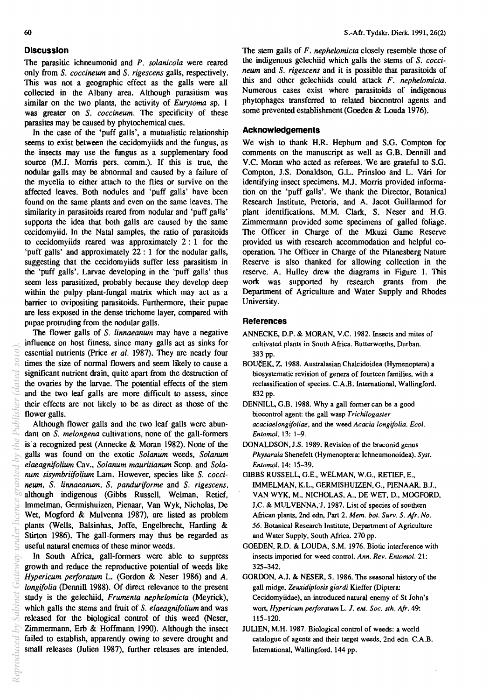# **DiScussion**

The parasitic ichneumonid and *P. solanicola* were reared only from S. *coccineum* and S. *rigescens* galls, respectively. This was not a geographic effect as the galls were all collected in the Albany area. Although parasitism was similar on the two plants, the activity of *Eurytoma* sp. I was greater on S. *coccineum*. The specificity of these parasites may be caused by phytochemical cues.

In the case of the 'puff galls', a mutualistic relationship seems to exist between the cecidomyiids and the fungus, as the insects may use the fungus as a supplementary food source (MJ. Morris pers. comm.). If this is true, the nodular galls may be abnormal and caused by a failure of the mycelia to either attach to the flies or survive on the affected leaves. Both nodules and 'puff galls' have been found on the same plants and even on the same leaves. The similarity in parasitoids reared from nodular and 'puff galls' supports the idea that both galls are caused by the same cecidomyiid. In the Natal samples, the ratio of parasitoids to cecidomyiids reared was approximately 2: 1 for the 'puff galls' and approximately 22: 1 for the nodular galls, suggesting that the cecidomyiids suffer less parasitism in the 'puff galls'. Larvae developing in the 'puff galls' thus seem less parasitized, probably because they develop deep within the pulpy plant-fungal matrix which may act as a barrier to ovipositing parasitoids. Furthermore, their pupae are less exposed in the dense trichome layer, compared with pupae protruding from the nodular galls.

The flower galls of S. *linnaeanum* may have a negative influence on host fitness, since many galls act as sinks for essential nutrients (Price *et al.* 1987). They are nearly four times the size of normal flowers and seem likely to cause a significant nutrient drain, quite apart from the destruction of the ovaries by the larvae. The potential effects of the stem and the two leaf galls are more difficult to assess, since their effects are not likely to be as direct as those of the flower galls.

Although flower galls and the two leaf galls were abundant on S. *melongena* cultivations, none of the gall-formers is'a recognized pest (Annecke & Moran. 1982). None of the galls was found on the exotic *Solanum* weeds, *Solanum elaeagnijolium* Cav., *Solanum mauritianum* Scop. and *Solanum sisymbriijolium* Lam. However, species like S. *coccineum.* S. *linnaeanum.* S. *pantiurijorme* and S. *rigescens.*  although indigenous (Gibbs Russell, Weiman, Retief, Immelman, Germishuizen, Pienaar, Van Wyk, Nicholas, De Wet, Mogford & Mulvenna 1987), are listed as problem plants (Wells, Balsinhas, Joffe, Engelbrecht, Harding & Stirton 1986). The gall-formers may thus be regarded as useful natural enemies of these minor weeds.

In South Africa, gall-formers were able to suppress growth and reduce the reproductive potential of weeds like *Hypericum perforatum* L. (Gordon & Neser 1986) and *A. longijolia* (Dennill 1988). Of direct relevance to the present study is the gelechiid, *Frumenta nephelomicta* (Meyrick), which galls the stems and fruit of S. *elaeagnifolium* and was released for the biological control of this weed (Neser, Zimmermann, Erb & Hoffmann. 1990). Although the insect failed to establish, apparently owing to severe drought and small releases (Julien 1987), further releases are intended. The stem galls of *F. nephelomicta* closely resemble those of the indigenous gelechiid which galls the stems of S. *coccineum* and S. *rigescens* and it is possible that parasitoids of this and other gelechiids could attack *F. nephelomicta.*  Numerous cases exist where parasitoids of indigenous phytophages transferred to related biocontrol agents and some prevented establishment (Goeden & Louda 1976).

## **Acknowledgements**

We wish to thank H.R. Hepburn and S.G. Compton for comments on the manuscript as well as G.B. Dennill and V.C. Moran who acted as referees. We are grateful to S.G. Compton, J.S. Donaldson, G.L. Prinsloo and L. Vári for identifying insect specimens. M.J. Morris provided information on the 'puff galls'. We thank the Director, Botanical Research Institute, Pretoria, and A. Jacot Guillarmod for plant identifications. M.M. Clark, S. Neser and H.G. Zimmermann provided some specimens of galled foliage. The Officer in Charge of the Mkuzi Game Reserve provided us with research accommodation and helpful cooperation. The Officer in Charge of the Pilanesberg Nature Reserve is also thanked for allowing collection in the reserve. A. Hulley drew the diagrams in Figure I. This work was supported by research grants from the Department of Agriculture and Water Supply and Rhodes University.

# **References**

- ANNECKE, D.P. & MORAN, V.C. 1982. Insects and mites of cultivated plants in South Africa. Butterworths, Durban. 383 pp.
- BOUČEK, Z. 1988. Australasian Chalcidoidea (Hymenoptera) a biosystematic revision of genera of fourteen families, with a reclassification of species. C.A.B. International, Wallingford. 832 pp.
- DENNILL, G.B. 1988. Why a gall former can be a good biocontrol agent: the gall wasp *Trichilogasler acaciaelongifoliae.* and the weed *Acacia longifolia. Ecol. Enlomol.* 13: 1-9.
- DONALDSON, J.S. 1989. Revision of the braconid genus *Physaraia* Shenefelt (Hymenoptera: Ichneumonoidea). *Sysi. Enlomol.* 14: 15-39.
- GffiBS RUSSELL, G.E., WELMAN. W.G., RETIEF, E., IMMELMAN, K.L., GERMISHUIZEN, G., PIENAAR, B.J., VAN WYK, M., NICHOLAS, A., DE WET, D., MOGFORD, lC. & MULVENNA,J. 1987. List of species of southern African plants, 2nd edn, Part 2. *Mem. 001. Surv.* S. *Afr. No.*  56. Botanical Research Institute, Department of Agriculture and Water Supply, South Africa. 270 pp.
- GOEDEN, R.D. & LOUDA, S.M. 1976. Biotic interference with insects imported for weed control. *Ann. Rev. Enlomol.* 21: 325-342.
- GORDON, A.J. & NESER, S. 1986. The seasonal history of the gall midge, *Zewcidiplosis giardi* Kieffer (Diptera: Cecidomyiidae), an introduced natural enemy of St John's wort, *Hypericum perforalum* L. J. *enl. Soc. slh. Afr. 49:*  115-120.
- JUUEN, M.H. 1987. Biological control of weeds: a world catalogue of agents and their target weeds, 2nd edn. C.A.B. International. Wallingford. 144 pp.